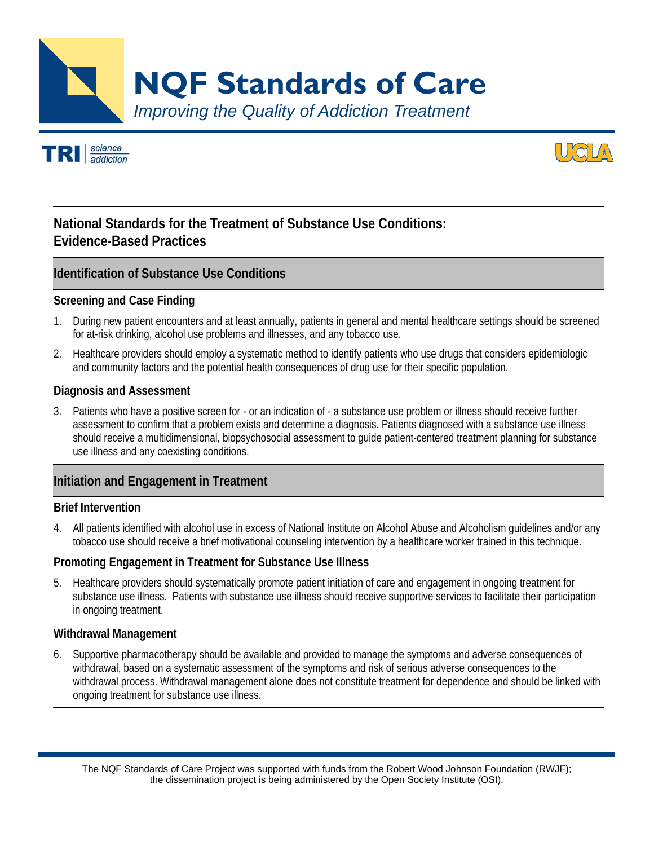*Improving the Quality of Addiction Treatment*  **NQF Standards of Care** 





# **National Standards for the Treatment of Substance Use Conditions: Evidence-Based Practices**

## **Identification of Substance Use Conditions**

#### **Screening and Case Finding**

- 1. During new patient encounters and at least annually, patients in general and mental healthcare settings should be screened for at-risk drinking, alcohol use problems and illnesses, and any tobacco use.
- 2. Healthcare providers should employ a systematic method to identify patients who use drugs that considers epidemiologic and community factors and the potential health consequences of drug use for their specific population.

#### **Diagnosis and Assessment**

3. Patients who have a positive screen for - or an indication of - a substance use problem or illness should receive further assessment to confirm that a problem exists and determine a diagnosis. Patients diagnosed with a substance use illness should receive a multidimensional, biopsychosocial assessment to guide patient-centered treatment planning for substance use illness and any coexisting conditions.

## **Initiation and Engagement in Treatment**

#### **Brief Intervention**

4. All patients identified with alcohol use in excess of National Institute on Alcohol Abuse and Alcoholism guidelines and/or any tobacco use should receive a brief motivational counseling intervention by a healthcare worker trained in this technique.

#### **Promoting Engagement in Treatment for Substance Use Illness**

5. Healthcare providers should systematically promote patient initiation of care and engagement in ongoing treatment for substance use illness. Patients with substance use illness should receive supportive services to facilitate their participation in ongoing treatment.

#### **Withdrawal Management**

6. Supportive pharmacotherapy should be available and provided to manage the symptoms and adverse consequences of withdrawal, based on a systematic assessment of the symptoms and risk of serious adverse consequences to the withdrawal process. Withdrawal management alone does not constitute treatment for dependence and should be linked with ongoing treatment for substance use illness.